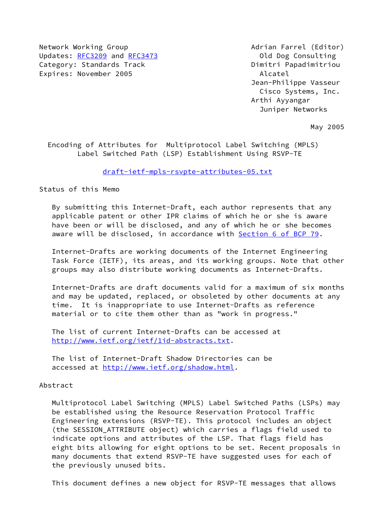Network Working Group **Adrian Farrel (Editor)** Adrian Farrel (Editor) Updates: [RFC3209](https://datatracker.ietf.org/doc/pdf/rfc3209) and [RFC3473](https://datatracker.ietf.org/doc/pdf/rfc3473) 0ld Dog Consulting Category: Standards Track Dimitri Papadimitriou Expires: November 2005 **Alcatel** 

 Jean-Philippe Vasseur Cisco Systems, Inc. Arthi Ayyangar Juniper Networks

May 2005

 Encoding of Attributes for Multiprotocol Label Switching (MPLS) Label Switched Path (LSP) Establishment Using RSVP-TE

[draft-ietf-mpls-rsvpte-attributes-05.txt](https://datatracker.ietf.org/doc/pdf/draft-ietf-mpls-rsvpte-attributes-05.txt)

Status of this Memo

 By submitting this Internet-Draft, each author represents that any applicable patent or other IPR claims of which he or she is aware have been or will be disclosed, and any of which he or she becomes aware will be disclosed, in accordance with Section [6 of BCP 79.](https://datatracker.ietf.org/doc/pdf/bcp79#section-6)

 Internet-Drafts are working documents of the Internet Engineering Task Force (IETF), its areas, and its working groups. Note that other groups may also distribute working documents as Internet-Drafts.

 Internet-Drafts are draft documents valid for a maximum of six months and may be updated, replaced, or obsoleted by other documents at any time. It is inappropriate to use Internet-Drafts as reference material or to cite them other than as "work in progress."

 The list of current Internet-Drafts can be accessed at <http://www.ietf.org/ietf/1id-abstracts.txt>.

 The list of Internet-Draft Shadow Directories can be accessed at [http://www.ietf.org/shadow.html.](http://www.ietf.org/shadow.html)

Abstract

 Multiprotocol Label Switching (MPLS) Label Switched Paths (LSPs) may be established using the Resource Reservation Protocol Traffic Engineering extensions (RSVP-TE). This protocol includes an object (the SESSION\_ATTRIBUTE object) which carries a flags field used to indicate options and attributes of the LSP. That flags field has eight bits allowing for eight options to be set. Recent proposals in many documents that extend RSVP-TE have suggested uses for each of the previously unused bits.

This document defines a new object for RSVP-TE messages that allows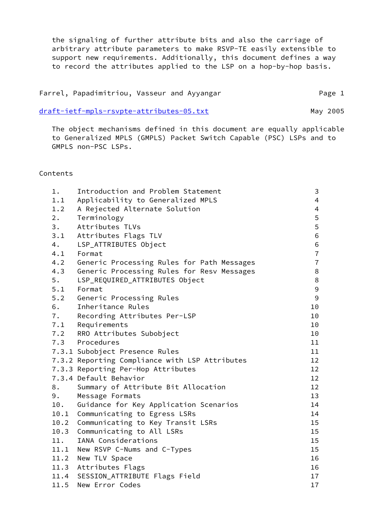the signaling of further attribute bits and also the carriage of arbitrary attribute parameters to make RSVP-TE easily extensible to support new requirements. Additionally, this document defines a way to record the attributes applied to the LSP on a hop-by-hop basis.

| Farrel, Papadimitriou, Vasseur and Ayyangar |  | Page 1 |  |
|---------------------------------------------|--|--------|--|
|                                             |  |        |  |

[draft-ietf-mpls-rsvpte-attributes-05.txt](https://datatracker.ietf.org/doc/pdf/draft-ietf-mpls-rsvpte-attributes-05.txt) May 2005

 The object mechanisms defined in this document are equally applicable to Generalized MPLS (GMPLS) Packet Switch Capable (PSC) LSPs and to GMPLS non-PSC LSPs.

# Contents

| $1$ . | Introduction and Problem Statement             | 3                 |
|-------|------------------------------------------------|-------------------|
| 1.1   | Applicability to Generalized MPLS              | $\overline{4}$    |
| 1.2   | A Rejected Alternate Solution                  | $\overline{4}$    |
| 2.    | Terminology                                    | 5                 |
| 3.    | Attributes TLVs                                | $\overline{5}$    |
|       | 3.1 Attributes Flags TLV                       | 6                 |
| 4.    | LSP_ATTRIBUTES Object                          | 6                 |
| 4.1   | Format                                         | $\overline{7}$    |
| 4.2   | Generic Processing Rules for Path Messages     | $\overline{7}$    |
| 4.3   | Generic Processing Rules for Resv Messages     | 8                 |
| 5.    | LSP_REQUIRED_ATTRIBUTES Object                 | $\,8\,$           |
| 5.1   | Format                                         | 9                 |
| 5.2   | Generic Processing Rules                       | $\mathsf 9$       |
| 6.    | Inheritance Rules                              | 10                |
|       | 7. Recording Attributes Per-LSP                | 10                |
|       | 7.1 Requirements                               | 10                |
|       | 7.2 RRO Attributes Subobject                   | 10                |
|       | 7.3 Procedures                                 | 11                |
|       | 7.3.1 Subobject Presence Rules                 | 11                |
|       | 7.3.2 Reporting Compliance with LSP Attributes | 12                |
|       | 7.3.3 Reporting Per-Hop Attributes             | $12 \overline{ }$ |
|       | 7.3.4 Default Behavior                         | 12 <sup>2</sup>   |
| 8.    | Summary of Attribute Bit Allocation            | 12                |
| 9.    | Message Formats                                | 13                |
| 10.   | Guidance for Key Application Scenarios         | 14                |
| 10.1  | Communicating to Egress LSRs                   | 14                |
| 10.2  | Communicating to Key Transit LSRs              | 15                |
| 10.3  | Communicating to All LSRs                      | 15                |
| 11.   | IANA Considerations                            | 15                |
| 11.1  | New RSVP C-Nums and C-Types                    | 15                |
| 11.2  | New TLV Space                                  | 16                |
| 11.3  | Attributes Flags                               | 16                |
|       | 11.4 SESSION_ATTRIBUTE Flags Field             | 17                |
| 11.5  | New Error Codes                                | 17                |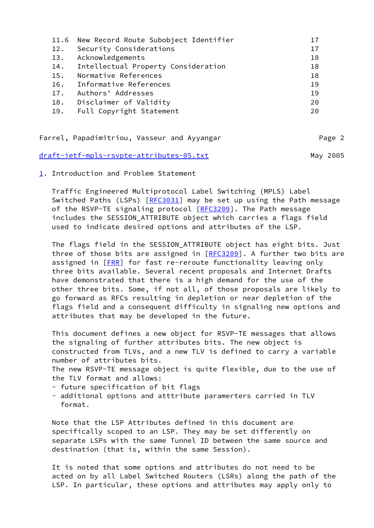|     | 11.6 New Record Route Subobject Identifier | 17 |
|-----|--------------------------------------------|----|
| 12. | Security Considerations                    | 17 |
| 13. | Acknowledgements                           | 18 |
| 14. | Intellectual Property Consideration        | 18 |
| 15. | Normative References                       | 18 |
| 16. | Informative References                     | 19 |
| 17. | Authors' Addresses                         | 19 |
| 18. | Disclaimer of Validity                     | 20 |
| 19. | Full Copyright Statement                   | 20 |
|     |                                            |    |

|  | Farrel, Papadimitriou, Vasseur and Ayyangar |  |  |  | Page 2 |
|--|---------------------------------------------|--|--|--|--------|
|--|---------------------------------------------|--|--|--|--------|

[draft-ietf-mpls-rsvpte-attributes-05.txt](https://datatracker.ietf.org/doc/pdf/draft-ietf-mpls-rsvpte-attributes-05.txt) May 2005

<span id="page-2-0"></span>[1](#page-2-0). Introduction and Problem Statement

 Traffic Engineered Multiprotocol Label Switching (MPLS) Label Switched Paths (LSPs) [[RFC3031](https://datatracker.ietf.org/doc/pdf/rfc3031)] may be set up using the Path message of the RSVP-TE signaling protocol [[RFC3209](https://datatracker.ietf.org/doc/pdf/rfc3209)]. The Path message includes the SESSION\_ATTRIBUTE object which carries a flags field used to indicate desired options and attributes of the LSP.

 The flags field in the SESSION\_ATTRIBUTE object has eight bits. Just three of those bits are assigned in  $[REC3209]$ . A further two bits are assigned in [\[FRR](#page-20-0)] for fast re-reroute functionality leaving only three bits available. Several recent proposals and Internet Drafts have demonstrated that there is a high demand for the use of the other three bits. Some, if not all, of those proposals are likely to go forward as RFCs resulting in depletion or near depletion of the flags field and a consequent difficulty in signaling new options and attributes that may be developed in the future.

 This document defines a new object for RSVP-TE messages that allows the signaling of further attributes bits. The new object is constructed from TLVs, and a new TLV is defined to carry a variable number of attributes bits.

 The new RSVP-TE message object is quite flexible, due to the use of the TLV format and allows:

- future specification of bit flags
- additional options and atttribute paramerters carried in TLV format.

 Note that the LSP Attributes defined in this document are specifically scoped to an LSP. They may be set differently on separate LSPs with the same Tunnel ID between the same source and destination (that is, within the same Session).

 It is noted that some options and attributes do not need to be acted on by all Label Switched Routers (LSRs) along the path of the LSP. In particular, these options and attributes may apply only to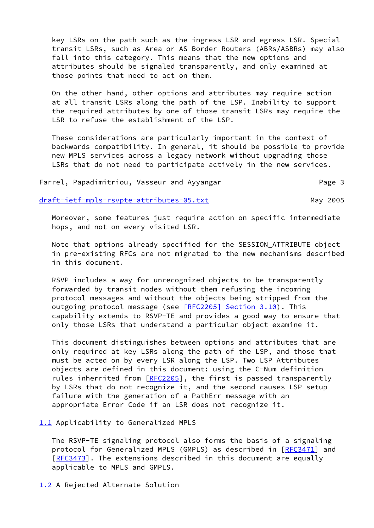key LSRs on the path such as the ingress LSR and egress LSR. Special transit LSRs, such as Area or AS Border Routers (ABRs/ASBRs) may also fall into this category. This means that the new options and attributes should be signaled transparently, and only examined at those points that need to act on them.

 On the other hand, other options and attributes may require action at all transit LSRs along the path of the LSP. Inability to support the required attributes by one of those transit LSRs may require the LSR to refuse the establishment of the LSP.

 These considerations are particularly important in the context of backwards compatibility. In general, it should be possible to provide new MPLS services across a legacy network without upgrading those LSRs that do not need to participate actively in the new services.

Farrel, Papadimitriou, Vasseur and Ayyangar Farrel, Page 3

[draft-ietf-mpls-rsvpte-attributes-05.txt](https://datatracker.ietf.org/doc/pdf/draft-ietf-mpls-rsvpte-attributes-05.txt) May 2005

 Moreover, some features just require action on specific intermediate hops, and not on every visited LSR.

 Note that options already specified for the SESSION\_ATTRIBUTE object in pre-existing RFCs are not migrated to the new mechanisms described in this document.

 RSVP includes a way for unrecognized objects to be transparently forwarded by transit nodes without them refusing the incoming protocol messages and without the objects being stripped from the outgoing protocol message (see [\[RFC2205\] Section](https://datatracker.ietf.org/doc/pdf/rfc2205#section-3.10) 3.10). This capability extends to RSVP-TE and provides a good way to ensure that only those LSRs that understand a particular object examine it.

 This document distinguishes between options and attributes that are only required at key LSRs along the path of the LSP, and those that must be acted on by every LSR along the LSP. Two LSP Attributes objects are defined in this document: using the C-Num definition rules inherrited from [[RFC2205](https://datatracker.ietf.org/doc/pdf/rfc2205)], the first is passed transparently by LSRs that do not recognize it, and the second causes LSP setup failure with the generation of a PathErr message with an appropriate Error Code if an LSR does not recognize it.

<span id="page-3-0"></span>[1.1](#page-3-0) Applicability to Generalized MPLS

 The RSVP-TE signaling protocol also forms the basis of a signaling protocol for Generalized MPLS (GMPLS) as described in [[RFC3471](https://datatracker.ietf.org/doc/pdf/rfc3471)] and [\[RFC3473](https://datatracker.ietf.org/doc/pdf/rfc3473)]. The extensions described in this document are equally applicable to MPLS and GMPLS.

<span id="page-3-1"></span>[1.2](#page-3-1) A Rejected Alternate Solution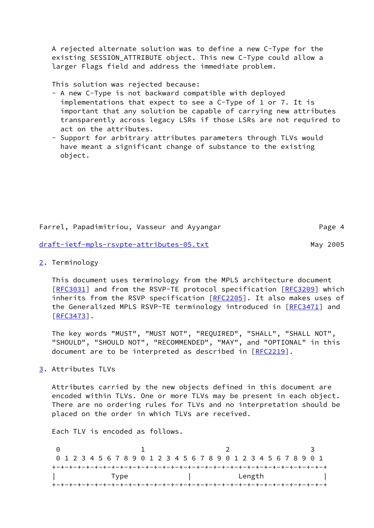A rejected alternate solution was to define a new C-Type for the existing SESSION ATTRIBUTE object. This new C-Type could allow a larger Flags field and address the immediate problem.

This solution was rejected because:

- A new C-Type is not backward compatible with deployed implementations that expect to see a C-Type of 1 or 7. It is important that any solution be capable of carrying new attributes transparently across legacy LSRs if those LSRs are not required to act on the attributes.
- Support for arbitrary attributes parameters through TLVs would have meant a significant change of substance to the existing object.

Farrel, Papadimitriou, Vasseur and Ayyangar Page 4

[draft-ietf-mpls-rsvpte-attributes-05.txt](https://datatracker.ietf.org/doc/pdf/draft-ietf-mpls-rsvpte-attributes-05.txt) May 2005

<span id="page-4-0"></span>[2](#page-4-0). Terminology

 This document uses terminology from the MPLS architecture document [\[RFC3031](https://datatracker.ietf.org/doc/pdf/rfc3031)] and from the RSVP-TE protocol specification [[RFC3209](https://datatracker.ietf.org/doc/pdf/rfc3209)] which inherits from the RSVP specification [\[RFC2205](https://datatracker.ietf.org/doc/pdf/rfc2205)]. It also makes uses of the Generalized MPLS RSVP-TE terminology introduced in [\[RFC3471](https://datatracker.ietf.org/doc/pdf/rfc3471)] and [\[RFC3473](https://datatracker.ietf.org/doc/pdf/rfc3473)].

 The key words "MUST", "MUST NOT", "REQUIRED", "SHALL", "SHALL NOT", "SHOULD", "SHOULD NOT", "RECOMMENDED", "MAY", and "OPTIONAL" in this document are to be interpreted as described in [\[RFC2219](https://datatracker.ietf.org/doc/pdf/rfc2219)].

<span id="page-4-1"></span>[3](#page-4-1). Attributes TLVs

 Attributes carried by the new objects defined in this document are encoded within TLVs. One or more TLVs may be present in each object. There are no ordering rules for TLVs and no interpretation should be placed on the order in which TLVs are received.

Each TLV is encoded as follows.

0 1 2 3 0 1 2 3 4 5 6 7 8 9 0 1 2 3 4 5 6 7 8 9 0 1 2 3 4 5 6 7 8 9 0 1 +-+-+-+-+-+-+-+-+-+-+-+-+-+-+-+-+-+-+-+-+-+-+-+-+-+-+-+-+-+-+-+-+ | Type | Length | +-+-+-+-+-+-+-+-+-+-+-+-+-+-+-+-+-+-+-+-+-+-+-+-+-+-+-+-+-+-+-+-+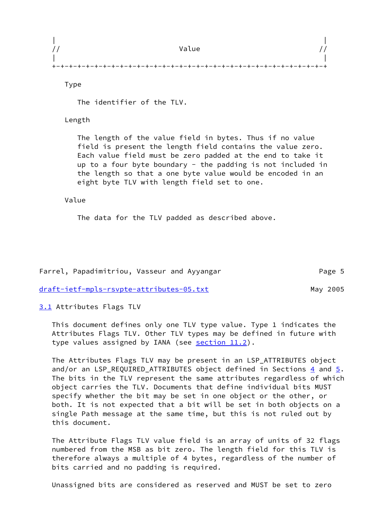|  | Value |  |
|--|-------|--|
|  |       |  |
|  |       |  |

Type

The identifier of the TLV.

Length

 The length of the value field in bytes. Thus if no value field is present the length field contains the value zero. Each value field must be zero padded at the end to take it up to a four byte boundary - the padding is not included in the length so that a one byte value would be encoded in an eight byte TLV with length field set to one.

Value

The data for the TLV padded as described above.

Farrel, Papadimitriou, Vasseur and Ayyangar Theorem 2016 Page 5

[draft-ietf-mpls-rsvpte-attributes-05.txt](https://datatracker.ietf.org/doc/pdf/draft-ietf-mpls-rsvpte-attributes-05.txt) May 2005

<span id="page-5-0"></span>[3.1](#page-5-0) Attributes Flags TLV

 This document defines only one TLV type value. Type 1 indicates the Attributes Flags TLV. Other TLV types may be defined in future with type values assigned by IANA (see [section 11.2](#page-16-0)).

 The Attributes Flags TLV may be present in an LSP\_ATTRIBUTES object and/or an LSP REQUIRED ATTRIBUTES object defined in Sections [4](#page-6-0) and [5.](#page-8-0) The bits in the TLV represent the same attributes regardless of which object carries the TLV. Documents that define individual bits MUST specify whether the bit may be set in one object or the other, or both. It is not expected that a bit will be set in both objects on a single Path message at the same time, but this is not ruled out by this document.

 The Attribute Flags TLV value field is an array of units of 32 flags numbered from the MSB as bit zero. The length field for this TLV is therefore always a multiple of 4 bytes, regardless of the number of bits carried and no padding is required.

Unassigned bits are considered as reserved and MUST be set to zero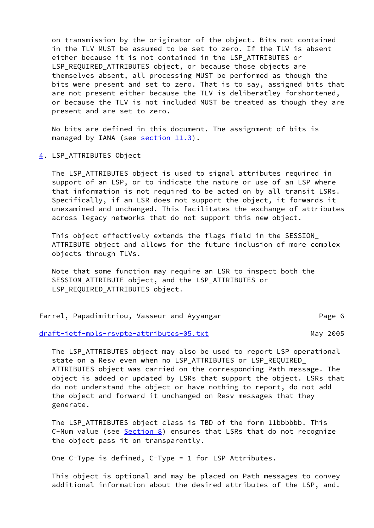on transmission by the originator of the object. Bits not contained in the TLV MUST be assumed to be set to zero. If the TLV is absent either because it is not contained in the LSP\_ATTRIBUTES or LSP\_REQUIRED\_ATTRIBUTES object, or because those objects are themselves absent, all processing MUST be performed as though the bits were present and set to zero. That is to say, assigned bits that are not present either because the TLV is deliberatley forshortened, or because the TLV is not included MUST be treated as though they are present and are set to zero.

 No bits are defined in this document. The assignment of bits is managed by IANA (see [section 11.3](#page-17-0)).

## <span id="page-6-0"></span>[4](#page-6-0). LSP\_ATTRIBUTES Object

The LSP ATTRIBUTES object is used to signal attributes required in support of an LSP, or to indicate the nature or use of an LSP where that information is not required to be acted on by all transit LSRs. Specifically, if an LSR does not support the object, it forwards it unexamined and unchanged. This facilitates the exchange of attributes across legacy networks that do not support this new object.

 This object effectively extends the flags field in the SESSION\_ ATTRIBUTE object and allows for the future inclusion of more complex objects through TLVs.

 Note that some function may require an LSR to inspect both the SESSION\_ATTRIBUTE object, and the LSP\_ATTRIBUTES or LSP\_REQUIRED\_ATTRIBUTES object.

Farrel, Papadimitriou, Vasseur and Ayyangar Theorem 2016 Page 6

[draft-ietf-mpls-rsvpte-attributes-05.txt](https://datatracker.ietf.org/doc/pdf/draft-ietf-mpls-rsvpte-attributes-05.txt) May 2005

 The LSP\_ATTRIBUTES object may also be used to report LSP operational state on a Resv even when no LSP\_ATTRIBUTES or LSP\_REQUIRED\_ ATTRIBUTES object was carried on the corresponding Path message. The object is added or updated by LSRs that support the object. LSRs that do not understand the object or have nothing to report, do not add the object and forward it unchanged on Resv messages that they generate.

 The LSP\_ATTRIBUTES object class is TBD of the form 11bbbbbb. This C-Num value (see [Section 8](#page-13-0)) ensures that LSRs that do not recognize the object pass it on transparently.

One C-Type is defined, C-Type = 1 for LSP Attributes.

 This object is optional and may be placed on Path messages to convey additional information about the desired attributes of the LSP, and.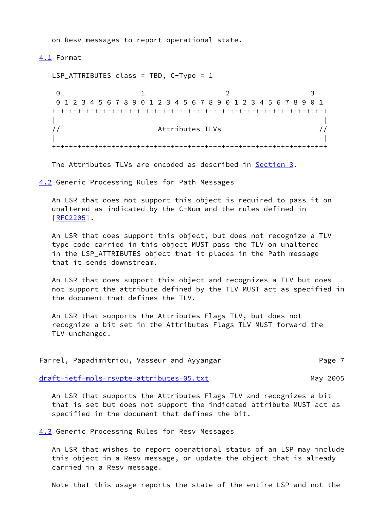on Resv messages to report operational state.

<span id="page-7-0"></span>[4.1](#page-7-0) Format

 LSP\_ATTRIBUTES class = TBD, C-Type = 1 0 1 2 3 0 1 2 3 4 5 6 7 8 9 0 1 2 3 4 5 6 7 8 9 0 1 2 3 4 5 6 7 8 9 0 1 +-+-+-+-+-+-+-+-+-+-+-+-+-+-+-+-+-+-+-+-+-+-+-+-+-+-+-+-+-+-+-+-+ | | // Attributes TLVs // | | +-+-+-+-+-+-+-+-+-+-+-+-+-+-+-+-+-+-+-+-+-+-+-+-+-+-+-+-+-+-+-+-+

The Attributes TLVs are encoded as described in [Section 3](#page-4-1).

<span id="page-7-1"></span>[4.2](#page-7-1) Generic Processing Rules for Path Messages

 An LSR that does not support this object is required to pass it on unaltered as indicated by the C-Num and the rules defined in [\[RFC2205](https://datatracker.ietf.org/doc/pdf/rfc2205)].

 An LSR that does support this object, but does not recognize a TLV type code carried in this object MUST pass the TLV on unaltered in the LSP\_ATTRIBUTES object that it places in the Path message that it sends downstream.

 An LSR that does support this object and recognizes a TLV but does not support the attribute defined by the TLV MUST act as specified in the document that defines the TLV.

 An LSR that supports the Attributes Flags TLV, but does not recognize a bit set in the Attributes Flags TLV MUST forward the TLV unchanged.

|  | Farrel, Papadimitriou, Vasseur and Ayyangar |  |  | Page 7 |
|--|---------------------------------------------|--|--|--------|
|--|---------------------------------------------|--|--|--------|

[draft-ietf-mpls-rsvpte-attributes-05.txt](https://datatracker.ietf.org/doc/pdf/draft-ietf-mpls-rsvpte-attributes-05.txt) May 2005

 An LSR that supports the Attributes Flags TLV and recognizes a bit that is set but does not support the indicated attribute MUST act as specified in the document that defines the bit.

<span id="page-7-2"></span>[4.3](#page-7-2) Generic Processing Rules for Resv Messages

 An LSR that wishes to report operational status of an LSP may include this object in a Resv message, or update the object that is already carried in a Resv message.

Note that this usage reports the state of the entire LSP and not the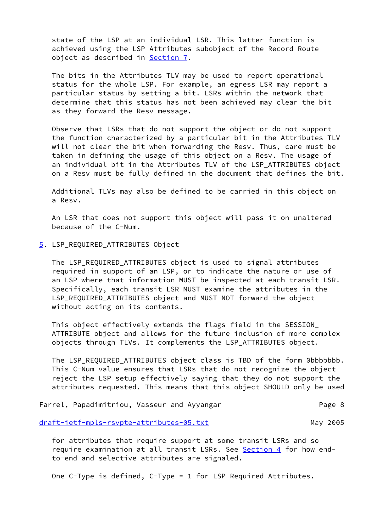state of the LSP at an individual LSR. This latter function is achieved using the LSP Attributes subobject of the Record Route object as described in [Section 7.](#page-10-0)

 The bits in the Attributes TLV may be used to report operational status for the whole LSP. For example, an egress LSR may report a particular status by setting a bit. LSRs within the network that determine that this status has not been achieved may clear the bit as they forward the Resv message.

 Observe that LSRs that do not support the object or do not support the function characterized by a particular bit in the Attributes TLV will not clear the bit when forwarding the Resv. Thus, care must be taken in defining the usage of this object on a Resv. The usage of an individual bit in the Attributes TLV of the LSP\_ATTRIBUTES object on a Resv must be fully defined in the document that defines the bit.

 Additional TLVs may also be defined to be carried in this object on a Resv.

 An LSR that does not support this object will pass it on unaltered because of the C-Num.

<span id="page-8-0"></span>[5](#page-8-0). LSP\_REQUIRED\_ATTRIBUTES Object

 The LSP\_REQUIRED\_ATTRIBUTES object is used to signal attributes required in support of an LSP, or to indicate the nature or use of an LSP where that information MUST be inspected at each transit LSR. Specifically, each transit LSR MUST examine the attributes in the LSP\_REQUIRED\_ATTRIBUTES object and MUST NOT forward the object without acting on its contents.

 This object effectively extends the flags field in the SESSION\_ ATTRIBUTE object and allows for the future inclusion of more complex objects through TLVs. It complements the LSP\_ATTRIBUTES object.

 The LSP\_REQUIRED\_ATTRIBUTES object class is TBD of the form 0bbbbbbb. This C-Num value ensures that LSRs that do not recognize the object reject the LSP setup effectively saying that they do not support the attributes requested. This means that this object SHOULD only be used

Farrel, Papadimitriou, Vasseur and Ayyangar Theorem 2016 Page 8

[draft-ietf-mpls-rsvpte-attributes-05.txt](https://datatracker.ietf.org/doc/pdf/draft-ietf-mpls-rsvpte-attributes-05.txt) May 2005

 for attributes that require support at some transit LSRs and so require examination at all transit LSRs. See [Section 4](#page-6-0) for how endto-end and selective attributes are signaled.

One C-Type is defined, C-Type = 1 for LSP Required Attributes.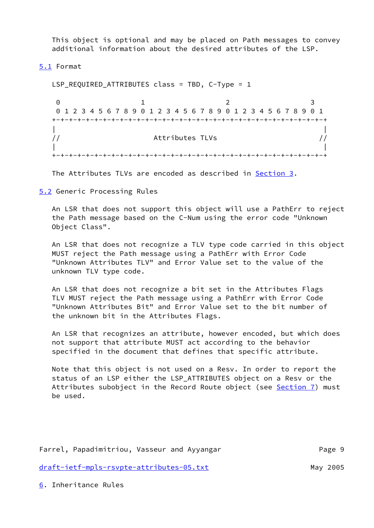This object is optional and may be placed on Path messages to convey additional information about the desired attributes of the LSP.

<span id="page-9-0"></span>[5.1](#page-9-0) Format

 LSP\_REQUIRED\_ATTRIBUTES class = TBD, C-Type = 1 0 1 2 3 0 1 2 3 4 5 6 7 8 9 0 1 2 3 4 5 6 7 8 9 0 1 2 3 4 5 6 7 8 9 0 1 +-+-+-+-+-+-+-+-+-+-+-+-+-+-+-+-+-+-+-+-+-+-+-+-+-+-+-+-+-+-+-+-+ | | // Attributes TLVs // | | +-+-+-+-+-+-+-+-+-+-+-+-+-+-+-+-+-+-+-+-+-+-+-+-+-+-+-+-+-+-+-+-+

The Attributes TLVs are encoded as described in [Section 3](#page-4-1).

<span id="page-9-1"></span>[5.2](#page-9-1) Generic Processing Rules

 An LSR that does not support this object will use a PathErr to reject the Path message based on the C-Num using the error code "Unknown Object Class".

 An LSR that does not recognize a TLV type code carried in this object MUST reject the Path message using a PathErr with Error Code "Unknown Attributes TLV" and Error Value set to the value of the unknown TLV type code.

 An LSR that does not recognize a bit set in the Attributes Flags TLV MUST reject the Path message using a PathErr with Error Code "Unknown Attributes Bit" and Error Value set to the bit number of the unknown bit in the Attributes Flags.

 An LSR that recognizes an attribute, however encoded, but which does not support that attribute MUST act according to the behavior specified in the document that defines that specific attribute.

 Note that this object is not used on a Resv. In order to report the status of an LSP either the LSP\_ATTRIBUTES object on a Resv or the Attributes subobject in the Record Route object (see [Section 7](#page-10-0)) must be used.

Farrel, Papadimitriou, Vasseur and Ayyangar Theorem Page 9 [draft-ietf-mpls-rsvpte-attributes-05.txt](https://datatracker.ietf.org/doc/pdf/draft-ietf-mpls-rsvpte-attributes-05.txt) May 2005

<span id="page-9-2"></span>[6](#page-9-2). Inheritance Rules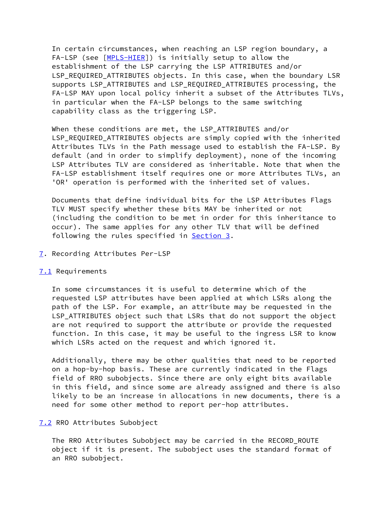In certain circumstances, when reaching an LSP region boundary, a FA-LSP (see [\[MPLS-HIER](#page-20-1)]) is initially setup to allow the establishment of the LSP carrying the LSP ATTRIBUTES and/or LSP REQUIRED ATTRIBUTES objects. In this case, when the boundary LSR supports LSP\_ATTRIBUTES and LSP\_REQUIRED\_ATTRIBUTES processing, the FA-LSP MAY upon local policy inherit a subset of the Attributes TLVs, in particular when the FA-LSP belongs to the same switching capability class as the triggering LSP.

 When these conditions are met, the LSP\_ATTRIBUTES and/or LSP\_REQUIRED\_ATTRIBUTES objects are simply copied with the inherited Attributes TLVs in the Path message used to establish the FA-LSP. By default (and in order to simplify deployment), none of the incoming LSP Attributes TLV are considered as inheritable. Note that when the FA-LSP establishment itself requires one or more Attributes TLVs, an 'OR' operation is performed with the inherited set of values.

 Documents that define individual bits for the LSP Attributes Flags TLV MUST specify whether these bits MAY be inherited or not (including the condition to be met in order for this inheritance to occur). The same applies for any other TLV that will be defined following the rules specified in [Section 3](#page-4-1).

<span id="page-10-0"></span>[7](#page-10-0). Recording Attributes Per-LSP

## <span id="page-10-1"></span>[7.1](#page-10-1) Requirements

 In some circumstances it is useful to determine which of the requested LSP attributes have been applied at which LSRs along the path of the LSP. For example, an attribute may be requested in the LSP ATTRIBUTES object such that LSRs that do not support the object are not required to support the attribute or provide the requested function. In this case, it may be useful to the ingress LSR to know which LSRs acted on the request and which ignored it.

 Additionally, there may be other qualities that need to be reported on a hop-by-hop basis. These are currently indicated in the Flags field of RRO subobjects. Since there are only eight bits available in this field, and since some are already assigned and there is also likely to be an increase in allocations in new documents, there is a need for some other method to report per-hop attributes.

### <span id="page-10-2"></span>[7.2](#page-10-2) RRO Attributes Subobject

 The RRO Attributes Subobject may be carried in the RECORD\_ROUTE object if it is present. The subobject uses the standard format of an RRO subobject.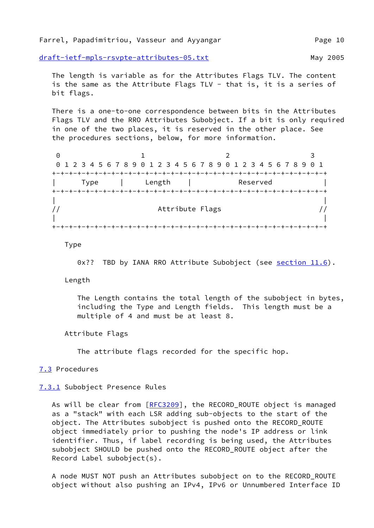[draft-ietf-mpls-rsvpte-attributes-05.txt](https://datatracker.ietf.org/doc/pdf/draft-ietf-mpls-rsvpte-attributes-05.txt) May 2005

 The length is variable as for the Attributes Flags TLV. The content is the same as the Attribute Flags TLV - that is, it is a series of bit flags.

 There is a one-to-one correspondence between bits in the Attributes Flags TLV and the RRO Attributes Subobject. If a bit is only required in one of the two places, it is reserved in the other place. See the procedures sections, below, for more information.

0 1 2 3 0 1 2 3 4 5 6 7 8 9 0 1 2 3 4 5 6 7 8 9 0 1 2 3 4 5 6 7 8 9 0 1 +-+-+-+-+-+-+-+-+-+-+-+-+-+-+-+-+-+-+-+-+-+-+-+-+-+-+-+-+-+-+-+-+ | Type | Length | Reserved | +-+-+-+-+-+-+-+-+-+-+-+-+-+-+-+-+-+-+-+-+-+-+-+-+-+-+-+-+-+-+-+-+ | | // Attribute Flags // | | +-+-+-+-+-+-+-+-+-+-+-+-+-+-+-+-+-+-+-+-+-+-+-+-+-+-+-+-+-+-+-+-+

Type

0x?? TBD by IANA RRO Attribute Subobject (see [section 11.6](#page-18-0)).

Length

 The Length contains the total length of the subobject in bytes, including the Type and Length fields. This length must be a multiple of 4 and must be at least 8.

Attribute Flags

The attribute flags recorded for the specific hop.

#### <span id="page-11-0"></span>[7.3](#page-11-0) Procedures

<span id="page-11-1"></span>[7.3.1](#page-11-1) Subobject Presence Rules

As will be clear from [[RFC3209](https://datatracker.ietf.org/doc/pdf/rfc3209)], the RECORD\_ROUTE object is managed as a "stack" with each LSR adding sub-objects to the start of the object. The Attributes subobject is pushed onto the RECORD\_ROUTE object immediately prior to pushing the node's IP address or link identifier. Thus, if label recording is being used, the Attributes subobject SHOULD be pushed onto the RECORD\_ROUTE object after the Record Label subobject(s).

 A node MUST NOT push an Attributes subobject on to the RECORD\_ROUTE object without also pushing an IPv4, IPv6 or Unnumbered Interface ID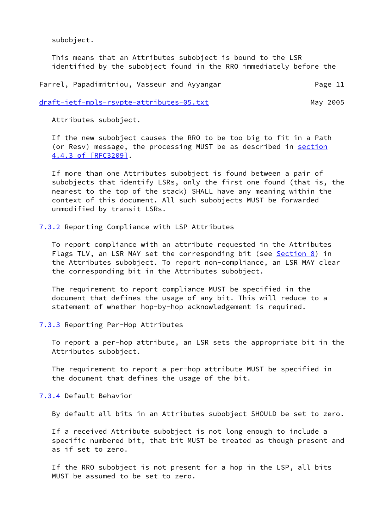subobject.

 This means that an Attributes subobject is bound to the LSR identified by the subobject found in the RRO immediately before the

Farrel, Papadimitriou, Vasseur and Ayyangar Theorem 2012 Page 11

[draft-ietf-mpls-rsvpte-attributes-05.txt](https://datatracker.ietf.org/doc/pdf/draft-ietf-mpls-rsvpte-attributes-05.txt) May 2005

Attributes subobject.

 If the new subobject causes the RRO to be too big to fit in a Path (or Resv) message, the processing MUST be as described in [section](https://datatracker.ietf.org/doc/pdf/rfc3209#section-4.4.3) [4.4.3 of \[RFC3209\]](https://datatracker.ietf.org/doc/pdf/rfc3209#section-4.4.3).

 If more than one Attributes subobject is found between a pair of subobjects that identify LSRs, only the first one found (that is, the nearest to the top of the stack) SHALL have any meaning within the context of this document. All such subobjects MUST be forwarded unmodified by transit LSRs.

<span id="page-12-0"></span>[7.3.2](#page-12-0) Reporting Compliance with LSP Attributes

 To report compliance with an attribute requested in the Attributes Flags TLV, an LSR MAY set the corresponding bit (see [Section 8](#page-13-0)) in the Attributes subobject. To report non-compliance, an LSR MAY clear the corresponding bit in the Attributes subobject.

 The requirement to report compliance MUST be specified in the document that defines the usage of any bit. This will reduce to a statement of whether hop-by-hop acknowledgement is required.

<span id="page-12-1"></span>[7.3.3](#page-12-1) Reporting Per-Hop Attributes

 To report a per-hop attribute, an LSR sets the appropriate bit in the Attributes subobject.

 The requirement to report a per-hop attribute MUST be specified in the document that defines the usage of the bit.

<span id="page-12-2"></span>[7.3.4](#page-12-2) Default Behavior

By default all bits in an Attributes subobject SHOULD be set to zero.

 If a received Attribute subobject is not long enough to include a specific numbered bit, that bit MUST be treated as though present and as if set to zero.

 If the RRO subobject is not present for a hop in the LSP, all bits MUST be assumed to be set to zero.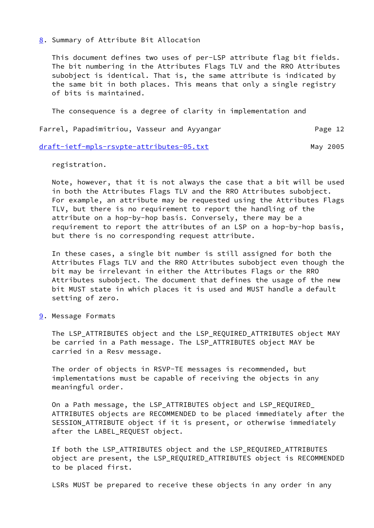### <span id="page-13-0"></span>[8](#page-13-0). Summary of Attribute Bit Allocation

 This document defines two uses of per-LSP attribute flag bit fields. The bit numbering in the Attributes Flags TLV and the RRO Attributes subobject is identical. That is, the same attribute is indicated by the same bit in both places. This means that only a single registry of bits is maintained.

The consequence is a degree of clarity in implementation and

## Farrel, Papadimitriou, Vasseur and Ayyangar Theorem Page 12

#### [draft-ietf-mpls-rsvpte-attributes-05.txt](https://datatracker.ietf.org/doc/pdf/draft-ietf-mpls-rsvpte-attributes-05.txt) May 2005

registration.

 Note, however, that it is not always the case that a bit will be used in both the Attributes Flags TLV and the RRO Attributes subobject. For example, an attribute may be requested using the Attributes Flags TLV, but there is no requirement to report the handling of the attribute on a hop-by-hop basis. Conversely, there may be a requirement to report the attributes of an LSP on a hop-by-hop basis, but there is no corresponding request attribute.

 In these cases, a single bit number is still assigned for both the Attributes Flags TLV and the RRO Attributes subobject even though the bit may be irrelevant in either the Attributes Flags or the RRO Attributes subobject. The document that defines the usage of the new bit MUST state in which places it is used and MUST handle a default setting of zero.

<span id="page-13-1"></span>[9](#page-13-1). Message Formats

 The LSP\_ATTRIBUTES object and the LSP\_REQUIRED\_ATTRIBUTES object MAY be carried in a Path message. The LSP\_ATTRIBUTES object MAY be carried in a Resv message.

 The order of objects in RSVP-TE messages is recommended, but implementations must be capable of receiving the objects in any meaningful order.

 On a Path message, the LSP\_ATTRIBUTES object and LSP\_REQUIRED\_ ATTRIBUTES objects are RECOMMENDED to be placed immediately after the SESSION\_ATTRIBUTE object if it is present, or otherwise immediately after the LABEL\_REQUEST object.

 If both the LSP\_ATTRIBUTES object and the LSP\_REQUIRED\_ATTRIBUTES object are present, the LSP\_REQUIRED\_ATTRIBUTES object is RECOMMENDED to be placed first.

LSRs MUST be prepared to receive these objects in any order in any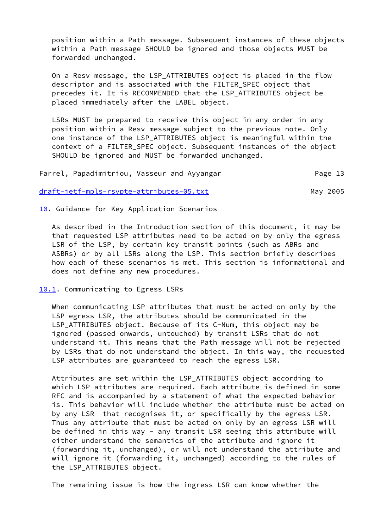position within a Path message. Subsequent instances of these objects within a Path message SHOULD be ignored and those objects MUST be forwarded unchanged.

 On a Resv message, the LSP\_ATTRIBUTES object is placed in the flow descriptor and is associated with the FILTER SPEC object that precedes it. It is RECOMMENDED that the LSP\_ATTRIBUTES object be placed immediately after the LABEL object.

 LSRs MUST be prepared to receive this object in any order in any position within a Resv message subject to the previous note. Only one instance of the LSP\_ATTRIBUTES object is meaningful within the context of a FILTER\_SPEC object. Subsequent instances of the object SHOULD be ignored and MUST be forwarded unchanged.

Farrel, Papadimitriou, Vasseur and Ayyangar Page 13

[draft-ietf-mpls-rsvpte-attributes-05.txt](https://datatracker.ietf.org/doc/pdf/draft-ietf-mpls-rsvpte-attributes-05.txt) May 2005

<span id="page-14-0"></span>[10.](#page-14-0) Guidance for Key Application Scenarios

 As described in the Introduction section of this document, it may be that requested LSP attributes need to be acted on by only the egress LSR of the LSP, by certain key transit points (such as ABRs and ASBRs) or by all LSRs along the LSP. This section briefly describes how each of these scenarios is met. This section is informational and does not define any new procedures.

<span id="page-14-1"></span>[10.1](#page-14-1). Communicating to Egress LSRs

 When communicating LSP attributes that must be acted on only by the LSP egress LSR, the attributes should be communicated in the LSP\_ATTRIBUTES object. Because of its C-Num, this object may be ignored (passed onwards, untouched) by transit LSRs that do not understand it. This means that the Path message will not be rejected by LSRs that do not understand the object. In this way, the requested LSP attributes are guaranteed to reach the egress LSR.

 Attributes are set within the LSP\_ATTRIBUTES object according to which LSP attributes are required. Each attribute is defined in some RFC and is accompanied by a statement of what the expected behavior is. This behavior will include whether the attribute must be acted on by any LSR that recognises it, or specifically by the egress LSR. Thus any attribute that must be acted on only by an egress LSR will be defined in this way - any transit LSR seeing this attribute will either understand the semantics of the attribute and ignore it (forwarding it, unchanged), or will not understand the attribute and will ignore it (forwarding it, unchanged) according to the rules of the LSP\_ATTRIBUTES object.

The remaining issue is how the ingress LSR can know whether the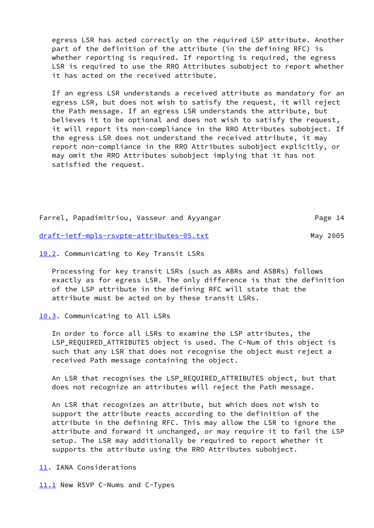egress LSR has acted correctly on the required LSP attribute. Another part of the definition of the attribute (in the defining RFC) is whether reporting is required. If reporting is required, the egress LSR is required to use the RRO Attributes subobject to report whether it has acted on the received attribute.

 If an egress LSR understands a received attribute as mandatory for an egress LSR, but does not wish to satisfy the request, it will reject the Path message. If an egress LSR understands the attribute, but believes it to be optional and does not wish to satisfy the request, it will report its non-compliance in the RRO Attributes subobject. If the egress LSR does not understand the received attribute, it may report non-compliance in the RRO Attributes subobject explicitly, or may omit the RRO Attributes subobject implying that it has not satisfied the request.

Farrel, Papadimitriou, Vasseur and Ayyangar Farrel, Page 14

[draft-ietf-mpls-rsvpte-attributes-05.txt](https://datatracker.ietf.org/doc/pdf/draft-ietf-mpls-rsvpte-attributes-05.txt) May 2005

<span id="page-15-0"></span>[10.2](#page-15-0). Communicating to Key Transit LSRs

 Processing for key transit LSRs (such as ABRs and ASBRs) follows exactly as for egress LSR. The only difference is that the definition of the LSP attribute in the defining RFC will state that the attribute must be acted on by these transit LSRs.

<span id="page-15-1"></span>[10.3](#page-15-1). Communicating to All LSRs

 In order to force all LSRs to examine the LSP attributes, the LSP REQUIRED ATTRIBUTES object is used. The C-Num of this object is such that any LSR that does not recognise the object must reject a received Path message containing the object.

 An LSR that recognises the LSP\_REQUIRED\_ATTRIBUTES object, but that does not recognize an attributes will reject the Path message.

 An LSR that recognizes an attribute, but which does not wish to support the attribute reacts according to the definition of the attribute in the defining RFC. This may allow the LSR to ignore the attribute and forward it unchanged, or may require it to fail the LSP setup. The LSR may additionally be required to report whether it supports the attribute using the RRO Attributes subobject.

<span id="page-15-2"></span>[11.](#page-15-2) IANA Considerations

<span id="page-15-3"></span>[11.1](#page-15-3) New RSVP C-Nums and C-Types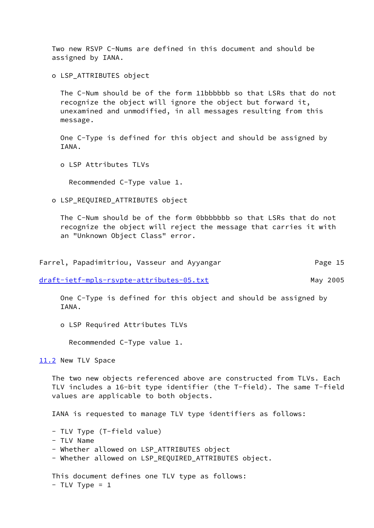Two new RSVP C-Nums are defined in this document and should be assigned by IANA.

o LSP\_ATTRIBUTES object

 The C-Num should be of the form 11bbbbbb so that LSRs that do not recognize the object will ignore the object but forward it, unexamined and unmodified, in all messages resulting from this message.

 One C-Type is defined for this object and should be assigned by IANA.

o LSP Attributes TLVs

Recommended C-Type value 1.

o LSP\_REQUIRED\_ATTRIBUTES object

 The C-Num should be of the form 0bbbbbbb so that LSRs that do not recognize the object will reject the message that carries it with an "Unknown Object Class" error.

Farrel, Papadimitriou, Vasseur and Ayyangar Theorem Page 15

[draft-ietf-mpls-rsvpte-attributes-05.txt](https://datatracker.ietf.org/doc/pdf/draft-ietf-mpls-rsvpte-attributes-05.txt) May 2005

 One C-Type is defined for this object and should be assigned by TANA.

o LSP Required Attributes TLVs

Recommended C-Type value 1.

<span id="page-16-0"></span>[11.2](#page-16-0) New TLV Space

 The two new objects referenced above are constructed from TLVs. Each TLV includes a 16-bit type identifier (the T-field). The same T-field values are applicable to both objects.

IANA is requested to manage TLV type identifiers as follows:

```
 - TLV Type (T-field value)
```
- TLV Name
- Whether allowed on LSP\_ATTRIBUTES object
- Whether allowed on LSP\_REQUIRED\_ATTRIBUTES object.

 This document defines one TLV type as follows:  $-$  TLV Type = 1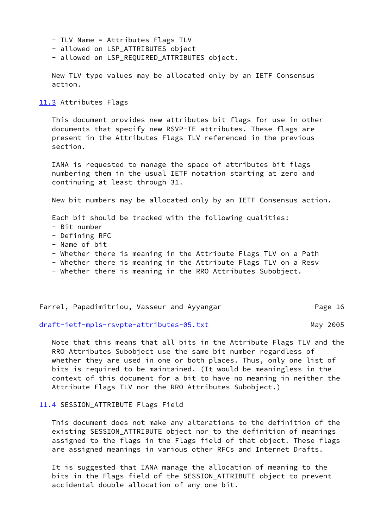- TLV Name = Attributes Flags TLV
- allowed on LSP\_ATTRIBUTES object
- allowed on LSP REQUIRED ATTRIBUTES object.

 New TLV type values may be allocated only by an IETF Consensus action.

#### <span id="page-17-0"></span>[11.3](#page-17-0) Attributes Flags

 This document provides new attributes bit flags for use in other documents that specify new RSVP-TE attributes. These flags are present in the Attributes Flags TLV referenced in the previous section.

 IANA is requested to manage the space of attributes bit flags numbering them in the usual IETF notation starting at zero and continuing at least through 31.

New bit numbers may be allocated only by an IETF Consensus action.

Each bit should be tracked with the following qualities:

- Bit number
- Defining RFC
- Name of bit
- Whether there is meaning in the Attribute Flags TLV on a Path
- Whether there is meaning in the Attribute Flags TLV on a Resv
- Whether there is meaning in the RRO Attributes Subobject.

## Farrel, Papadimitriou, Vasseur and Ayyangar Farrel, Page 16

[draft-ietf-mpls-rsvpte-attributes-05.txt](https://datatracker.ietf.org/doc/pdf/draft-ietf-mpls-rsvpte-attributes-05.txt) May 2005

 Note that this means that all bits in the Attribute Flags TLV and the RRO Attributes Subobject use the same bit number regardless of whether they are used in one or both places. Thus, only one list of bits is required to be maintained. (It would be meaningless in the context of this document for a bit to have no meaning in neither the Attribute Flags TLV nor the RRO Attributes Subobject.)

#### <span id="page-17-1"></span>[11.4](#page-17-1) SESSION\_ATTRIBUTE Flags Field

 This document does not make any alterations to the definition of the existing SESSION\_ATTRIBUTE object nor to the definition of meanings assigned to the flags in the Flags field of that object. These flags are assigned meanings in various other RFCs and Internet Drafts.

 It is suggested that IANA manage the allocation of meaning to the bits in the Flags field of the SESSION\_ATTRIBUTE object to prevent accidental double allocation of any one bit.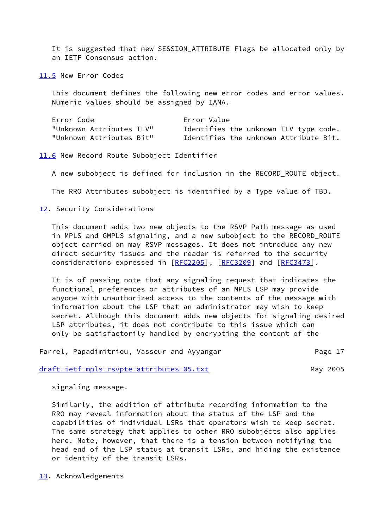It is suggested that new SESSION\_ATTRIBUTE Flags be allocated only by an IETF Consensus action.

<span id="page-18-1"></span>[11.5](#page-18-1) New Error Codes

 This document defines the following new error codes and error values. Numeric values should be assigned by IANA.

| Error Code               | Error Value                           |  |  |
|--------------------------|---------------------------------------|--|--|
| "Unknown Attributes TLV" | Identifies the unknown TLV type code. |  |  |
| "Unknown Attributes Bit" | Identifies the unknown Attribute Bit. |  |  |

<span id="page-18-0"></span>[11.6](#page-18-0) New Record Route Subobject Identifier

A new subobject is defined for inclusion in the RECORD\_ROUTE object.

The RRO Attributes subobject is identified by a Type value of TBD.

<span id="page-18-2"></span>[12.](#page-18-2) Security Considerations

 This document adds two new objects to the RSVP Path message as used in MPLS and GMPLS signaling, and a new subobject to the RECORD\_ROUTE object carried on may RSVP messages. It does not introduce any new direct security issues and the reader is referred to the security considerations expressed in [\[RFC2205](https://datatracker.ietf.org/doc/pdf/rfc2205)], [\[RFC3209](https://datatracker.ietf.org/doc/pdf/rfc3209)] and [\[RFC3473](https://datatracker.ietf.org/doc/pdf/rfc3473)].

 It is of passing note that any signaling request that indicates the functional preferences or attributes of an MPLS LSP may provide anyone with unauthorized access to the contents of the message with information about the LSP that an administrator may wish to keep secret. Although this document adds new objects for signaling desired LSP attributes, it does not contribute to this issue which can only be satisfactorily handled by encrypting the content of the

Farrel, Papadimitriou, Vasseur and Ayyangar Theorem 2017 Page 17

[draft-ietf-mpls-rsvpte-attributes-05.txt](https://datatracker.ietf.org/doc/pdf/draft-ietf-mpls-rsvpte-attributes-05.txt) May 2005

signaling message.

 Similarly, the addition of attribute recording information to the RRO may reveal information about the status of the LSP and the capabilities of individual LSRs that operators wish to keep secret. The same strategy that applies to other RRO subobjects also applies here. Note, however, that there is a tension between notifying the head end of the LSP status at transit LSRs, and hiding the existence or identity of the transit LSRs.

<span id="page-18-3"></span>[13.](#page-18-3) Acknowledgements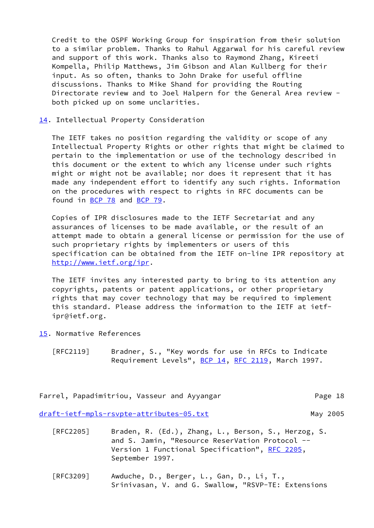Credit to the OSPF Working Group for inspiration from their solution to a similar problem. Thanks to Rahul Aggarwal for his careful review and support of this work. Thanks also to Raymond Zhang, Kireeti Kompella, Philip Matthews, Jim Gibson and Alan Kullberg for their input. As so often, thanks to John Drake for useful offline discussions. Thanks to Mike Shand for providing the Routing Directorate review and to Joel Halpern for the General Area review both picked up on some unclarities.

<span id="page-19-0"></span>[14.](#page-19-0) Intellectual Property Consideration

 The IETF takes no position regarding the validity or scope of any Intellectual Property Rights or other rights that might be claimed to pertain to the implementation or use of the technology described in this document or the extent to which any license under such rights might or might not be available; nor does it represent that it has made any independent effort to identify any such rights. Information on the procedures with respect to rights in RFC documents can be found in [BCP 78](https://datatracker.ietf.org/doc/pdf/bcp78) and [BCP 79](https://datatracker.ietf.org/doc/pdf/bcp79).

 Copies of IPR disclosures made to the IETF Secretariat and any assurances of licenses to be made available, or the result of an attempt made to obtain a general license or permission for the use of such proprietary rights by implementers or users of this specification can be obtained from the IETF on-line IPR repository at <http://www.ietf.org/ipr>.

 The IETF invites any interested party to bring to its attention any copyrights, patents or patent applications, or other proprietary rights that may cover technology that may be required to implement this standard. Please address the information to the IETF at ietf ipr@ietf.org.

- <span id="page-19-1"></span>[15.](#page-19-1) Normative References
	- [RFC2119] Bradner, S., "Key words for use in RFCs to Indicate Requirement Levels", [BCP 14](https://datatracker.ietf.org/doc/pdf/bcp14), [RFC 2119,](https://datatracker.ietf.org/doc/pdf/rfc2119) March 1997.

Farrel, Papadimitriou, Vasseur and Ayyangar Theorem Page 18

[draft-ietf-mpls-rsvpte-attributes-05.txt](https://datatracker.ietf.org/doc/pdf/draft-ietf-mpls-rsvpte-attributes-05.txt) May 2005

- [RFC2205] Braden, R. (Ed.), Zhang, L., Berson, S., Herzog, S. and S. Jamin, "Resource ReserVation Protocol -- Version 1 Functional Specification", [RFC 2205,](https://datatracker.ietf.org/doc/pdf/rfc2205) September 1997.
- [RFC3209] Awduche, D., Berger, L., Gan, D., Li, T., Srinivasan, V. and G. Swallow, "RSVP-TE: Extensions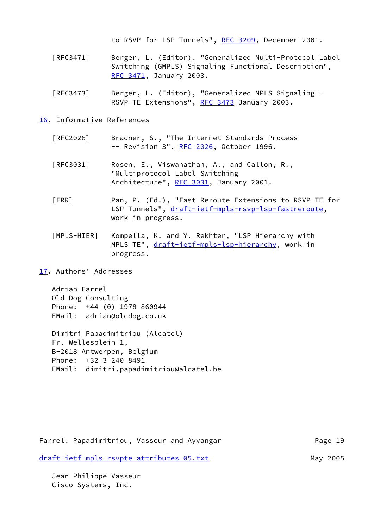to RSVP for LSP Tunnels", [RFC 3209](https://datatracker.ietf.org/doc/pdf/rfc3209), December 2001.

- [RFC3471] Berger, L. (Editor), "Generalized Multi-Protocol Label Switching (GMPLS) Signaling Functional Description", [RFC 3471](https://datatracker.ietf.org/doc/pdf/rfc3471), January 2003.
- [RFC3473] Berger, L. (Editor), "Generalized MPLS Signaling RSVP-TE Extensions", [RFC 3473](https://datatracker.ietf.org/doc/pdf/rfc3473) January 2003.

### <span id="page-20-2"></span>[16.](#page-20-2) Informative References

- [RFC2026] Bradner, S., "The Internet Standards Process -- Revision 3", [RFC 2026](https://datatracker.ietf.org/doc/pdf/rfc2026), October 1996.
- [RFC3031] Rosen, E., Viswanathan, A., and Callon, R., "Multiprotocol Label Switching Architecture", [RFC 3031](https://datatracker.ietf.org/doc/pdf/rfc3031), January 2001.
- <span id="page-20-0"></span> [FRR] Pan, P. (Ed.), "Fast Reroute Extensions to RSVP-TE for LSP Tunnels", [draft-ietf-mpls-rsvp-lsp-fastreroute,](https://datatracker.ietf.org/doc/pdf/draft-ietf-mpls-rsvp-lsp-fastreroute) work in progress.
- <span id="page-20-1"></span> [MPLS-HIER] Kompella, K. and Y. Rekhter, "LSP Hierarchy with MPLS TE", [draft-ietf-mpls-lsp-hierarchy](https://datatracker.ietf.org/doc/pdf/draft-ietf-mpls-lsp-hierarchy), work in progress.
- <span id="page-20-3"></span>[17.](#page-20-3) Authors' Addresses

 Adrian Farrel Old Dog Consulting Phone: +44 (0) 1978 860944 EMail: adrian@olddog.co.uk

 Dimitri Papadimitriou (Alcatel) Fr. Wellesplein 1, B-2018 Antwerpen, Belgium Phone: +32 3 240-8491 EMail: dimitri.papadimitriou@alcatel.be

Farrel, Papadimitriou, Vasseur and Ayyangar Page 19 [draft-ietf-mpls-rsvpte-attributes-05.txt](https://datatracker.ietf.org/doc/pdf/draft-ietf-mpls-rsvpte-attributes-05.txt) May 2005

 Jean Philippe Vasseur Cisco Systems, Inc.